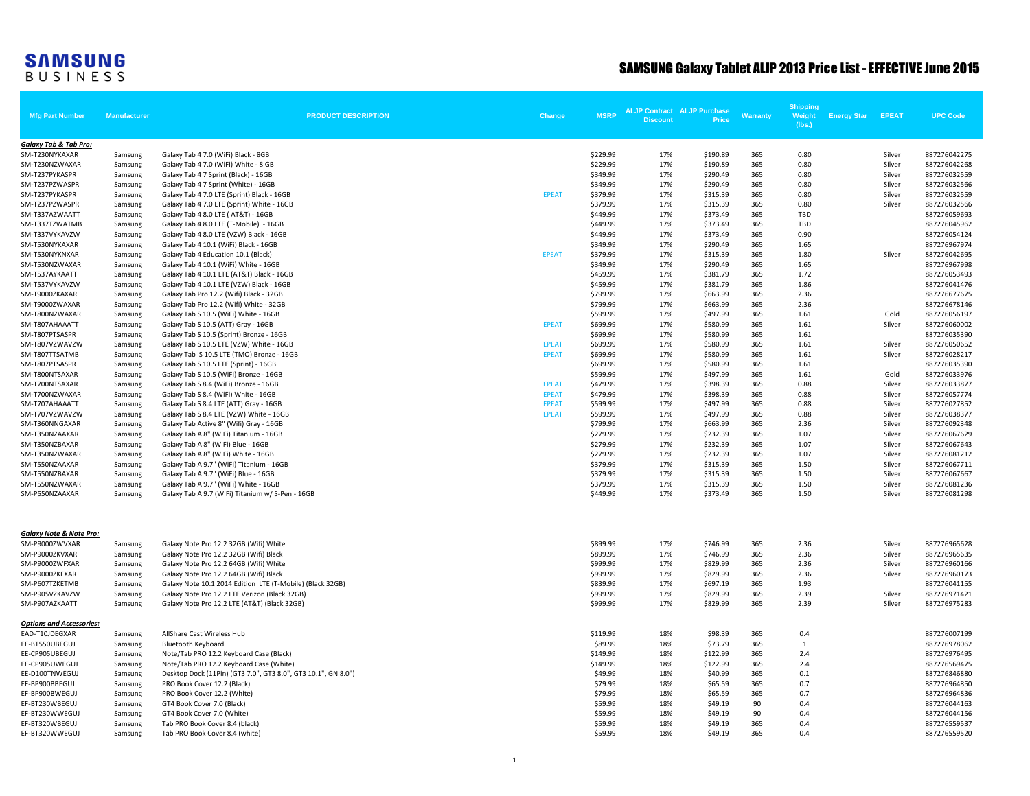## **SAMSUNG**<br>BUSINESS

## SAMSUNG Galaxy Tablet ALJP 2013 Price List - EFFECTIVE June 2015

| <b>Mfg Part Number</b>             | <b>Manufacturer</b> | <b>PRODUCT DESCRIPTION</b>                                                      | Change                       | <b>MSRP</b>          | <b>ALJP Contract ALJP Purchase</b><br><b>Discount</b> | Price                | <b>Warranty</b> | <b>Shipping</b><br>Weight | <b>Energy Star</b> | <b>EPEAT</b> | <b>UPC Code</b>              |
|------------------------------------|---------------------|---------------------------------------------------------------------------------|------------------------------|----------------------|-------------------------------------------------------|----------------------|-----------------|---------------------------|--------------------|--------------|------------------------------|
|                                    |                     |                                                                                 |                              |                      |                                                       |                      |                 | (lbs.)                    |                    |              |                              |
| Galaxy Tab & Tab Pro:              |                     |                                                                                 |                              |                      |                                                       |                      |                 |                           |                    |              |                              |
| SM-T230NYKAXAR                     | Samsung             | Galaxy Tab 4 7.0 (WiFi) Black - 8GB                                             |                              | \$229.99             | 17%                                                   | \$190.89             | 365             | 0.80                      |                    | Silver       | 887276042275                 |
| SM-T230NZWAXAR                     | Samsung             | Galaxy Tab 4 7.0 (WiFi) White - 8 GB                                            |                              | \$229.99             | 17%                                                   | \$190.89             | 365             | 0.80                      |                    | Silver       | 887276042268                 |
| SM-T237PYKASPR                     | Samsung             | Galaxy Tab 4 7 Sprint (Black) - 16GB                                            |                              | \$349.99             | 17%                                                   | \$290.49             | 365             | 0.80                      |                    | Silver       | 887276032559                 |
| SM-T237PZWASPR                     | Samsung             | Galaxy Tab 4 7 Sprint (White) - 16GB                                            |                              | \$349.99             | 17%                                                   | \$290.49             | 365             | 0.80                      |                    | Silver       | 887276032566                 |
| SM-T237PYKASPR                     | Samsung             | Galaxy Tab 4 7.0 LTE (Sprint) Black - 16GB                                      | <b>EPEAT</b>                 | \$379.99             | 17%                                                   | \$315.39             | 365             | 0.80                      |                    | Silver       | 887276032559                 |
| SM-T237PZWASPR                     | Samsung             | Galaxy Tab 4 7.0 LTE (Sprint) White - 16GB                                      |                              | \$379.99             | 17%                                                   | \$315.39             | 365             | 0.80                      |                    | Silver       | 887276032566                 |
| SM-T337AZWAATT                     | Samsung             | Galaxy Tab 4 8.0 LTE ( AT&T) - 16GB                                             |                              | \$449.99             | 17%                                                   | \$373.49             | 365             | TBD                       |                    |              | 887276059693                 |
| SM-T337TZWATMB                     | Samsung             | Galaxy Tab 4 8.0 LTE (T-Mobile) - 16GB                                          |                              | \$449.99             | 17%                                                   | \$373.49             | 365             | TBD                       |                    |              | 887276045962                 |
| SM-T337VYKAVZW                     | Samsung             | Galaxy Tab 4 8.0 LTE (VZW) Black - 16GB                                         |                              | \$449.99             | 17%                                                   | \$373.49             | 365             | 0.90                      |                    |              | 887276054124                 |
| SM-T530NYKAXAR                     | Samsung             | Galaxy Tab 4 10.1 (WiFi) Black - 16GB                                           |                              | \$349.99             | 17%                                                   | \$290.49             | 365             | 1.65                      |                    |              | 887276967974                 |
| SM-T530NYKNXAR                     | Samsung             | Galaxy Tab 4 Education 10.1 (Black)                                             | <b>EPEAT</b>                 | \$379.99             | 17%                                                   | \$315.39             | 365             | 1.80                      |                    | Silver       | 887276042695                 |
| SM-T530NZWAXAR                     | Samsung             | Galaxy Tab 4 10.1 (WiFi) White - 16GB                                           |                              | \$349.99             | 17%                                                   | \$290.49             | 365             | 1.65                      |                    |              | 887276967998                 |
| SM-T537AYKAATT                     | Samsung             | Galaxy Tab 4 10.1 LTE (AT&T) Black - 16GB                                       |                              | \$459.99             | 17%                                                   | \$381.79             | 365             | 1.72                      |                    |              | 887276053493                 |
| SM-T537VYKAVZW                     | Samsung             | Galaxy Tab 4 10.1 LTE (VZW) Black - 16GB                                        |                              | \$459.99             | 17%                                                   | \$381.79             | 365             | 1.86                      |                    |              | 887276041476                 |
| SM-T9000ZKAXAR                     | Samsung             | Galaxy Tab Pro 12.2 (Wifi) Black - 32GB                                         |                              | \$799.99             | 17%                                                   | \$663.99             | 365             | 2.36                      |                    |              | 887276677675                 |
| SM-T9000ZWAXAR                     | Samsung             | Galaxy Tab Pro 12.2 (Wifi) White - 32GB                                         |                              | \$799.99             | 17%                                                   | \$663.99             | 365             | 2.36                      |                    |              | 887276678146                 |
| SM-T800NZWAXAR                     | Samsung             | Galaxy Tab S 10.5 (WiFi) White - 16GB                                           |                              | \$599.99             | 17%                                                   | \$497.99             | 365             | 1.61                      |                    | Gold         | 887276056197                 |
| SM-T807AHAAATT                     | Samsung             | Galaxy Tab S 10.5 (ATT) Gray - 16GB                                             | <b>EPEAT</b>                 | \$699.99             | 17%<br>17%                                            | \$580.99             | 365             | 1.61<br>1.61              |                    | Silver       | 887276060002                 |
| SM-T807PTSASPR                     | Samsung             | Galaxy Tab S 10.5 (Sprint) Bronze - 16GB                                        |                              | \$699.99             |                                                       | \$580.99             | 365             |                           |                    |              | 887276035390                 |
| SM-T807VZWAVZW                     | Samsung             | Galaxy Tab S 10.5 LTE (VZW) White - 16GB                                        | <b>EPEAT</b><br><b>EPEAT</b> | \$699.99             | 17%<br>17%                                            | \$580.99<br>\$580.99 | 365<br>365      | 1.61                      |                    | Silver       | 887276050652                 |
| SM-T807TTSATMB<br>SM-T807PTSASPR   | Samsung             | Galaxy Tab S 10.5 LTE (TMO) Bronze - 16GB                                       |                              | \$699.99<br>\$699.99 | 17%                                                   | \$580.99             | 365             | 1.61<br>1.61              |                    | Silver       | 887276028217                 |
| SM-T800NTSAXAR                     | Samsung             | Galaxy Tab S 10.5 LTE (Sprint) - 16GB<br>Galaxy Tab S 10.5 (WiFi) Bronze - 16GB |                              | \$599.99             | 17%                                                   | \$497.99             | 365             | 1.61                      |                    | Gold         | 887276035390<br>887276033976 |
| SM-T700NTSAXAR                     | Samsung             | Galaxy Tab S 8.4 (WiFi) Bronze - 16GB                                           | <b>EPEAT</b>                 | \$479.99             | 17%                                                   | \$398.39             | 365             | 0.88                      |                    | Silver       | 887276033877                 |
| SM-T700NZWAXAR                     | Samsung<br>Samsung  | Galaxy Tab S 8.4 (WiFi) White - 16GB                                            | <b>EPEAT</b>                 | \$479.99             | 17%                                                   | \$398.39             | 365             | 0.88                      |                    | Silver       | 887276057774                 |
| SM-T707AHAAATT                     | Samsung             | Galaxy Tab S 8.4 LTE (ATT) Gray - 16GB                                          | <b>EPEAT</b>                 | \$599.99             | 17%                                                   | \$497.99             | 365             | 0.88                      |                    | Silver       | 887276027852                 |
| SM-T707VZWAVZW                     | Samsung             | Galaxy Tab S 8.4 LTE (VZW) White - 16GB                                         | <b>EPEAT</b>                 | \$599.99             | 17%                                                   | \$497.99             | 365             | 0.88                      |                    | Silver       | 887276038377                 |
| SM-T360NNGAXAR                     | Samsung             | Galaxy Tab Active 8" (Wifi) Gray - 16GB                                         |                              | \$799.99             | 17%                                                   | \$663.99             | 365             | 2.36                      |                    | Silver       | 887276092348                 |
| SM-T350NZAAXAR                     | Samsung             | Galaxy Tab A 8" (WiFi) Titanium - 16GB                                          |                              | \$279.99             | 17%                                                   | \$232.39             | 365             | 1.07                      |                    | Silver       | 887276067629                 |
| SM-T350NZBAXAR                     | Samsung             | Galaxy Tab A 8" (WiFi) Blue - 16GB                                              |                              | \$279.99             | 17%                                                   | \$232.39             | 365             | 1.07                      |                    | Silver       | 887276067643                 |
| SM-T350NZWAXAR                     | Samsung             | Galaxy Tab A 8" (WiFi) White - 16GB                                             |                              | \$279.99             | 17%                                                   | \$232.39             | 365             | 1.07                      |                    | Silver       | 887276081212                 |
| SM-T550NZAAXAR                     | Samsung             | Galaxy Tab A 9.7" (WiFi) Titanium - 16GB                                        |                              | \$379.99             | 17%                                                   | \$315.39             | 365             | 1.50                      |                    | Silver       | 887276067711                 |
| SM-T550NZBAXAR                     | Samsung             | Galaxy Tab A 9.7" (WiFi) Blue - 16GB                                            |                              | \$379.99             | 17%                                                   | \$315.39             | 365             | 1.50                      |                    | Silver       | 887276067667                 |
| SM-T550NZWAXAR                     | Samsung             | Galaxy Tab A 9.7" (WiFi) White - 16GB                                           |                              | \$379.99             | 17%                                                   | \$315.39             | 365             | 1.50                      |                    | Silver       | 887276081236                 |
| SM-P550NZAAXAR                     | Samsung             | Galaxy Tab A 9.7 (WiFi) Titanium w/ S-Pen - 16GB                                |                              | \$449.99             | 17%                                                   | \$373.49             | 365             | 1.50                      |                    | Silver       | 887276081298                 |
|                                    |                     |                                                                                 |                              |                      |                                                       |                      |                 |                           |                    |              |                              |
| <b>Galaxy Note &amp; Note Pro:</b> |                     |                                                                                 |                              |                      |                                                       |                      |                 |                           |                    |              |                              |
| SM-P9000ZWVXAR                     | Samsung             | Galaxy Note Pro 12.2 32GB (Wifi) White                                          |                              | \$899.99             | 17%                                                   | \$746.99             | 365             | 2.36                      |                    | Silver       | 887276965628                 |
| SM-P9000ZKVXAR                     | Samsung             | Galaxy Note Pro 12.2 32GB (Wifi) Black                                          |                              | \$899.99             | 17%                                                   | \$746.99             | 365             | 2.36                      |                    | Silver       | 887276965635                 |
| SM-P9000ZWFXAR                     | Samsung             | Galaxy Note Pro 12.2 64GB (Wifi) White                                          |                              | \$999.99             | 17%                                                   | \$829.99             | 365             | 2.36                      |                    | Silver       | 887276960166                 |
| SM-P9000ZKFXAR                     | Samsung             | Galaxy Note Pro 12.2 64GB (Wifi) Black                                          |                              | \$999.99             | 17%                                                   | \$829.99             | 365             | 2.36                      |                    | Silver       | 887276960173                 |
| SM-P607TZKETMB                     | Samsung             | Galaxy Note 10.1 2014 Edition LTE (T-Mobile) (Black 32GB)                       |                              | \$839.99             | 17%                                                   | \$697.19             | 365             | 1.93                      |                    |              | 887276041155                 |
| SM-P905VZKAVZW                     | Samsung             | Galaxy Note Pro 12.2 LTE Verizon (Black 32GB)                                   |                              | \$999.99             | 17%                                                   | \$829.99             | 365             | 2.39                      |                    | Silver       | 887276971421                 |
| SM-P907AZKAATT                     | Samsung             | Galaxy Note Pro 12.2 LTE (AT&T) (Black 32GB)                                    |                              | \$999.99             | 17%                                                   | \$829.99             | 365             | 2.39                      |                    | Silver       | 887276975283                 |
| <b>Options and Accessories:</b>    |                     |                                                                                 |                              |                      |                                                       |                      |                 |                           |                    |              |                              |
| EAD-T10JDEGXAR                     | Samsung             | AllShare Cast Wireless Hub                                                      |                              | \$119.99             | 18%                                                   | \$98.39              | 365             | 0.4                       |                    |              | 887276007199                 |
| EE-BT550UBEGUJ                     | Samsung             | <b>Bluetooth Keyboard</b>                                                       |                              | \$89.99              | 18%                                                   | \$73.79              | 365             | 1                         |                    |              | 887276978062                 |
| EE-CP905UBEGUJ                     | Samsung             | Note/Tab PRO 12.2 Keyboard Case (Black)                                         |                              | \$149.99             | 18%                                                   | \$122.99             | 365             | 2.4                       |                    |              | 887276976495                 |
| EE-CP905UWEGUJ                     | Samsung             | Note/Tab PRO 12.2 Keyboard Case (White)                                         |                              | \$149.99             | 18%                                                   | \$122.99             | 365             | 2.4                       |                    |              | 887276569475                 |
| EE-D100TNWEGUJ                     | Samsung             | Desktop Dock (11Pin) (GT3 7.0", GT3 8.0", GT3 10.1", GN 8.0")                   |                              | \$49.99              | 18%                                                   | \$40.99              | 365             | 0.1                       |                    |              | 887276846880                 |
| EF-BP900BBEGUJ                     | Samsung             | PRO Book Cover 12.2 (Black)                                                     |                              | \$79.99              | 18%                                                   | \$65.59              | 365             | 0.7                       |                    |              | 887276964850                 |
| EF-BP900BWEGUJ                     | Samsung             | PRO Book Cover 12.2 (White)                                                     |                              | \$79.99              | 18%                                                   | \$65.59              | 365             | 0.7                       |                    |              | 887276964836                 |
| EF-BT230WBEGUJ                     | Samsung             | GT4 Book Cover 7.0 (Black)                                                      |                              | \$59.99              | 18%                                                   | \$49.19              | 90              | 0.4                       |                    |              | 887276044163                 |
| EF-BT230WWEGUJ                     | Samsung             | GT4 Book Cover 7.0 (White)                                                      |                              | \$59.99              | 18%                                                   | \$49.19              | 90              | 0.4                       |                    |              | 887276044156                 |
| EF-BT320WBEGUJ                     | Samsung             | Tab PRO Book Cover 8.4 (black)                                                  |                              | \$59.99              | 18%                                                   | \$49.19              | 365             | 0.4                       |                    |              | 887276559537                 |
| EF-BT320WWEGUJ                     | Samsung             | Tab PRO Book Cover 8.4 (white)                                                  |                              | \$59.99              | 18%                                                   | \$49.19              | 365             | 0.4                       |                    |              | 887276559520                 |